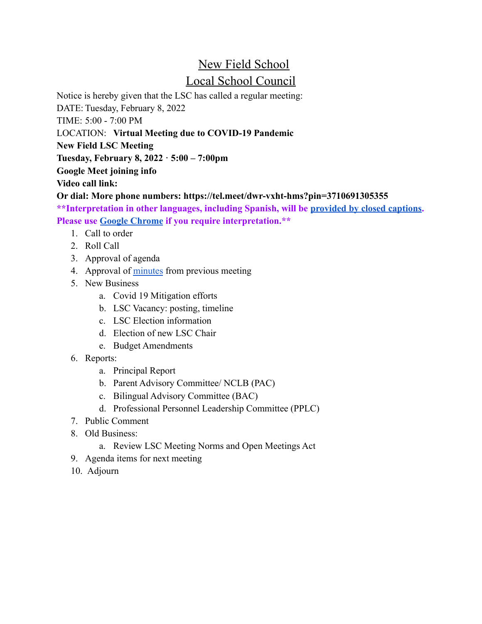## New Field School Local School Council

Notice is hereby given that the LSC has called a regular meeting:

DATE: Tuesday, February 8, 2022

TIME: 5:00 - 7:00 PM

LOCATION: **Virtual Meeting due to COVID-19 Pandemic**

**New Field LSC Meeting**

**Tuesday, February 8, 2022 · 5:00 – 7:00pm**

**Google Meet joining info**

**Video call link:**

**Or dial: More phone numbers: https://tel.meet/dwr-vxht-hms?pin=3710691305355**

**\*\*Interpretation in other languages, including Spanish, will be [provided by closed captions.](https://drive.google.com/file/d/1FbP8qrN1Rp411lgr28STxUkZR4p77L3N/view) Please use [Google Chrome](https://www.google.com/chrome/) if you require interpretation.\*\***

- 1. Call to order
- 2. Roll Call
- 3. Approval of agenda
- 4. Approval of [minutes](https://docs.google.com/document/d/1OvQjwVrx39MbKC5CRzIyhWfT7i4FSwiC/edit) from previous meeting
- 5. New Business
	- a. Covid 19 Mitigation efforts
	- b. LSC Vacancy: posting, timeline
	- c. LSC Election information
	- d. Election of new LSC Chair
	- e. Budget Amendments
- 6. Reports:
	- a. Principal Report
	- b. Parent Advisory Committee/ NCLB (PAC)
	- c. Bilingual Advisory Committee (BAC)
	- d. Professional Personnel Leadership Committee (PPLC)
- 7. Public Comment
- 8. Old Business:
	- a. Review LSC Meeting Norms and Open Meetings Act
- 9. Agenda items for next meeting
- 10. Adjourn